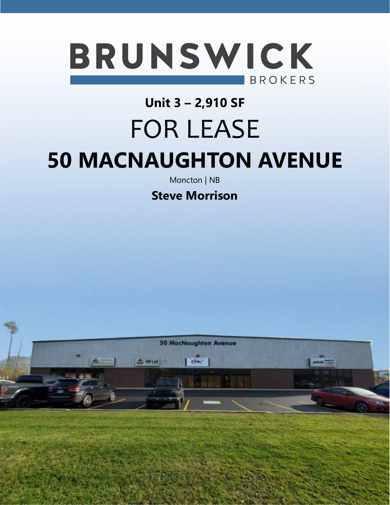

### **Unit 3 – 2,910 SF**

# FOR LEASE

# **50 MACNAUGHTON AVENUE**

Moncton | NB

**Steve Morrison**

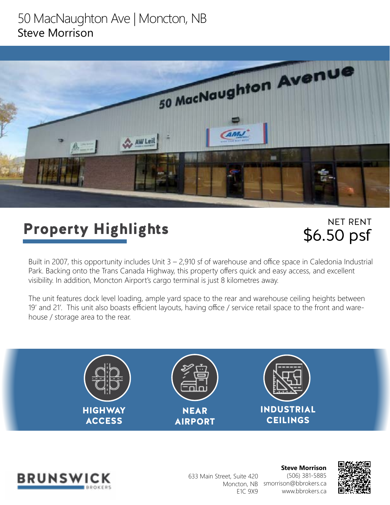### 50 MacNaughton Ave | Moncton, NB Steve Morrison



## Property Highlights

NET RENT \$6.50 psf

Built in 2007, this opportunity includes Unit 3 – 2,910 sf of warehouse and office space in Caledonia Industrial Park. Backing onto the Trans Canada Highway, this property offers quick and easy access, and excellent visibility. In addition, Moncton Airport's cargo terminal is just 8 kilometres away.

The unit features dock level loading, ample yard space to the rear and warehouse ceiling heights between 19' and 21'. This unit also boasts efficient layouts, having office / service retail space to the front and warehouse / storage area to the rear.





633 Main Street, Suite 420 E1C 9X9

**Steve Morrison** (506) 381-5885 Moncton, NB smorrison@bbrokers.ca www.bbrokers.ca

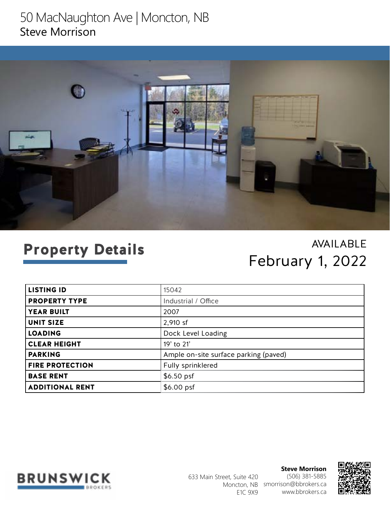### 50 MacNaughton Ave | Moncton, NB Steve Morrison



## Property Details

### AVAILABLE February 1, 2022

| <b>LISTING ID</b>      | 15042                                 |
|------------------------|---------------------------------------|
| <b>PROPERTY TYPE</b>   | Industrial / Office                   |
| <b>YEAR BUILT</b>      | 2007                                  |
| <b>UNIT SIZE</b>       | 2,910 sf                              |
| <b>LOADING</b>         | Dock Level Loading                    |
| <b>CLEAR HEIGHT</b>    | 19' to 21'                            |
| <b>PARKING</b>         | Ample on-site surface parking (paved) |
| <b>FIRE PROTECTION</b> | Fully sprinklered                     |
| <b>BASE RENT</b>       | $$6.50$ psf                           |
| <b>ADDITIONAL RENT</b> | $$6.00$ psf                           |



**Steve Morrison** (506) 381-5885 Moncton, NB smorrison@bbrokers.ca www.bbrokers.ca 633 Main Street, Suite 420 E1C 9X9

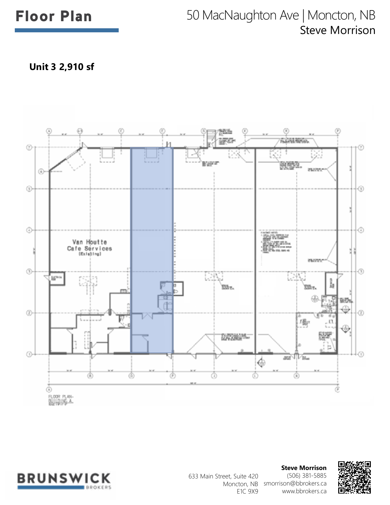### Floor Plan 50 MacNaughton Ave | Moncton, NB Steve Morrison

**Unit 3 2,910 sf**





**Steve Morrison** (506) 381-5885 Moncton, NB smorrison@bbrokers.ca www.bbrokers.ca 633 Main Street, Suite 420 E1C 9X9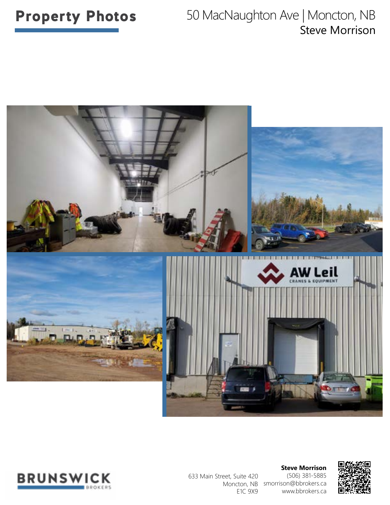### **Property Photos** 50 MacNaughton Ave | Moncton, NB Steve Morrison





633 Main Street, Suite 420 E1C 9X9

**Steve Morrison** (506) 381-5885 Moncton, NB smorrison@bbrokers.ca www.bbrokers.ca